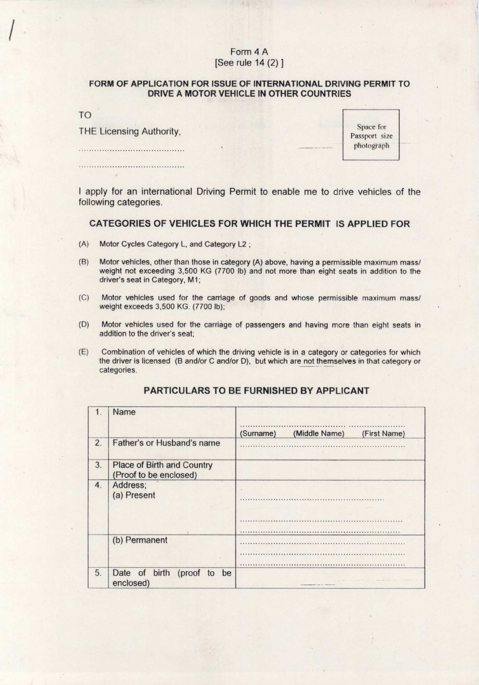## Form 4 A [See rule 14 (2) ]

## **FORM** OF APPLICATION FOR ISSUE OF INTERNATIONAL DRIVING PERMIT TO DRIVE A MOTOR VEHICLE IN OTHER COUNTRIES

TO

THE Licensing Authority, Space for Space for Space for Space for Space for Space for Space for Space for Space for Space for Space for Space for Space for Space for Space for Space for Space for Space for Space for Space f

Passport size photograph

I apply for an international Driving Permit to enable me to drive vehicles of the following categories.

## CATEGORIES OF VEHICLES FOR WHICH THE PERMIT IS APPLIED FOR

- (A) Motor Cycles Category L, and Category L2 ;
- (B) Motor vehicles, other than those in category (A) above, having a permissible maximum mass/ weight not exceeding 3,500 KG (7700 lb) and not more than eight seats in addition to the driver's seat in Category, M1;
- (C) Motor vehicles **used for the carriage of goods and whose permissible maximum mass/ weight exceeds** 3,500 KG. (7700 lb);
- (D) Motor vehicles used for the carriage of passengers and having more than eight seats in addition to the driver's seat;
- (E) Combination of vehicles of which the driving vehicle is in a category or categories for which the driver is licensed (B and/or C and/or D), but which are not themselves in that category or categories.

| 1. | Name                                                 |                                            |
|----|------------------------------------------------------|--------------------------------------------|
|    |                                                      | (Middle Name)<br>(First Name)<br>(Surname) |
| 2. | Father's or Husband's name                           |                                            |
| 3. | Place of Birth and Country<br>(Proof to be enclosed) |                                            |
| 4. | Address;<br>(a) Present                              |                                            |
|    |                                                      |                                            |
|    | (b) Permanent                                        |                                            |
|    |                                                      |                                            |
| 5. | Date of birth (proof to be<br>enclosed)              | the price of the                           |

## PARTICULARS **TO BE FURNISHED** BY APPLICANT